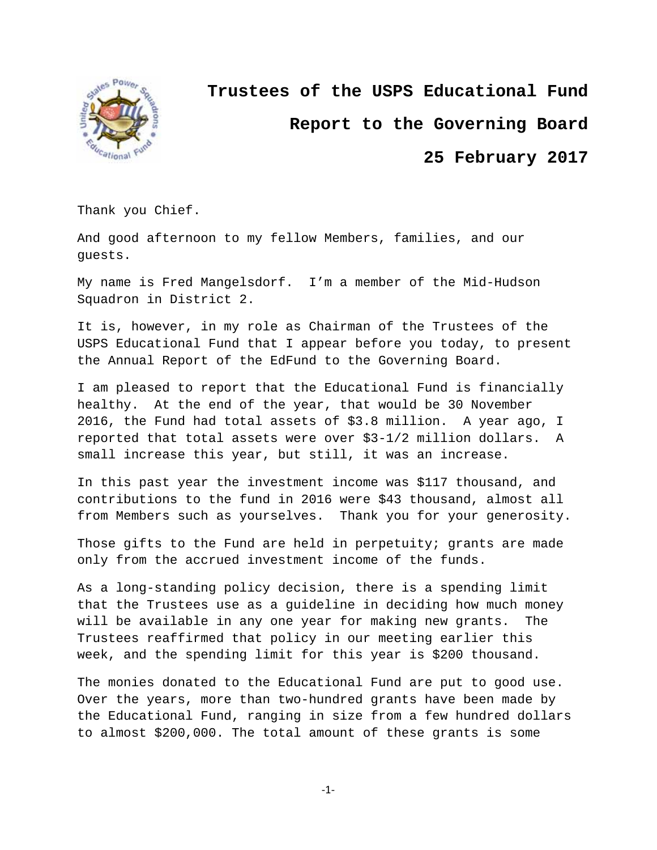

**Trustees of the USPS Educational Fund**

**Report to the Governing Board**

**25 February 2017**

Thank you Chief.

And good afternoon to my fellow Members, families, and our guests.

My name is Fred Mangelsdorf. I'm a member of the Mid-Hudson Squadron in District 2.

It is, however, in my role as Chairman of the Trustees of the USPS Educational Fund that I appear before you today, to present the Annual Report of the EdFund to the Governing Board.

I am pleased to report that the Educational Fund is financially healthy. At the end of the year, that would be 30 November 2016, the Fund had total assets of \$3.8 million. A year ago, I reported that total assets were over \$3-1/2 million dollars. A small increase this year, but still, it was an increase.

In this past year the investment income was \$117 thousand, and contributions to the fund in 2016 were \$43 thousand, almost all from Members such as yourselves. Thank you for your generosity.

Those gifts to the Fund are held in perpetuity; grants are made only from the accrued investment income of the funds.

As a long-standing policy decision, there is a spending limit that the Trustees use as a guideline in deciding how much money will be available in any one year for making new grants. The Trustees reaffirmed that policy in our meeting earlier this week, and the spending limit for this year is \$200 thousand.

The monies donated to the Educational Fund are put to good use. Over the years, more than two-hundred grants have been made by the Educational Fund, ranging in size from a few hundred dollars to almost \$200,000. The total amount of these grants is some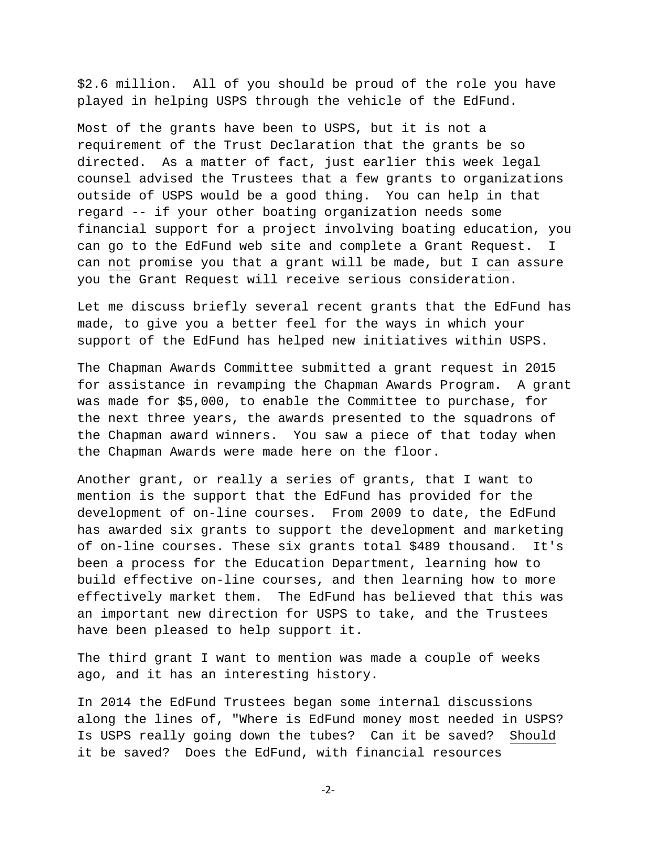\$2.6 million. All of you should be proud of the role you have played in helping USPS through the vehicle of the EdFund.

Most of the grants have been to USPS, but it is not a requirement of the Trust Declaration that the grants be so directed. As a matter of fact, just earlier this week legal counsel advised the Trustees that a few grants to organizations outside of USPS would be a good thing. You can help in that regard -- if your other boating organization needs some financial support for a project involving boating education, you can go to the EdFund web site and complete a Grant Request. I can not promise you that a grant will be made, but I can assure you the Grant Request will receive serious consideration.

Let me discuss briefly several recent grants that the EdFund has made, to give you a better feel for the ways in which your support of the EdFund has helped new initiatives within USPS.

The Chapman Awards Committee submitted a grant request in 2015 for assistance in revamping the Chapman Awards Program. A grant was made for \$5,000, to enable the Committee to purchase, for the next three years, the awards presented to the squadrons of the Chapman award winners. You saw a piece of that today when the Chapman Awards were made here on the floor.

Another grant, or really a series of grants, that I want to mention is the support that the EdFund has provided for the development of on-line courses. From 2009 to date, the EdFund has awarded six grants to support the development and marketing of on-line courses. These six grants total \$489 thousand. It's been a process for the Education Department, learning how to build effective on-line courses, and then learning how to more effectively market them. The EdFund has believed that this was an important new direction for USPS to take, and the Trustees have been pleased to help support it.

The third grant I want to mention was made a couple of weeks ago, and it has an interesting history.

In 2014 the EdFund Trustees began some internal discussions along the lines of, "Where is EdFund money most needed in USPS? Is USPS really going down the tubes? Can it be saved? Should it be saved? Does the EdFund, with financial resources

‐2‐